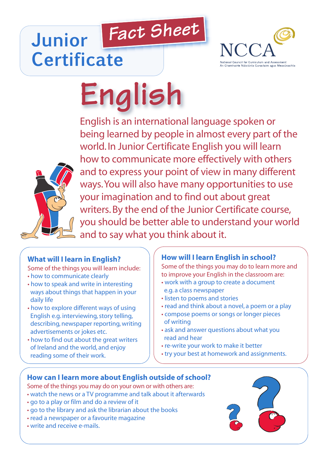## *Fact Sheet* **Junior Certificate**



# **English**



English is an international language spoken or being learned by people in almost every part of the world.In Junior Certificate English you will learn how to communicate more effectively with others and to express your point of view in many different ways. You will also have many opportunities to use your imagination and to find out about great writers.By the end of the Junior Certificate course, you should be better able to understand your world and to say what you think about it.

### **What will I learn in English?**

- Some of the things you will learn include:
- how to communicate clearly
- how to speak and write in interesting ways about things that happen in your daily life
- how to explore different ways of using English e.g. interviewing, story telling, describing, newspaper reporting,writing advertisements or jokes etc.
- how to find out about the great writers of Ireland and the world, and enjoy reading some of their work.

#### **How will I learn English in school?**

Some of the things you may do to learn more and to improve your English in the classroom are:

- work with a group to create a document e.g. a class newspaper
- listen to poems and stories
- read and think about a novel, a poem or a play
- compose poems or songs or longer pieces of writing
- ask and answer questions about what you read and hear
- re-write your work to make it better
- try your best at homework and assignments.

#### **How can I learn more about English outside of school?**

- Some of the things you may do on your own or with others are:
- watch the news or a TV programme and talk about it afterwards
- go to a play or film and do a review of it
- go to the library and ask the librarian about the books
- read a newspaper or a favourite magazine
- write and receive e-mails.